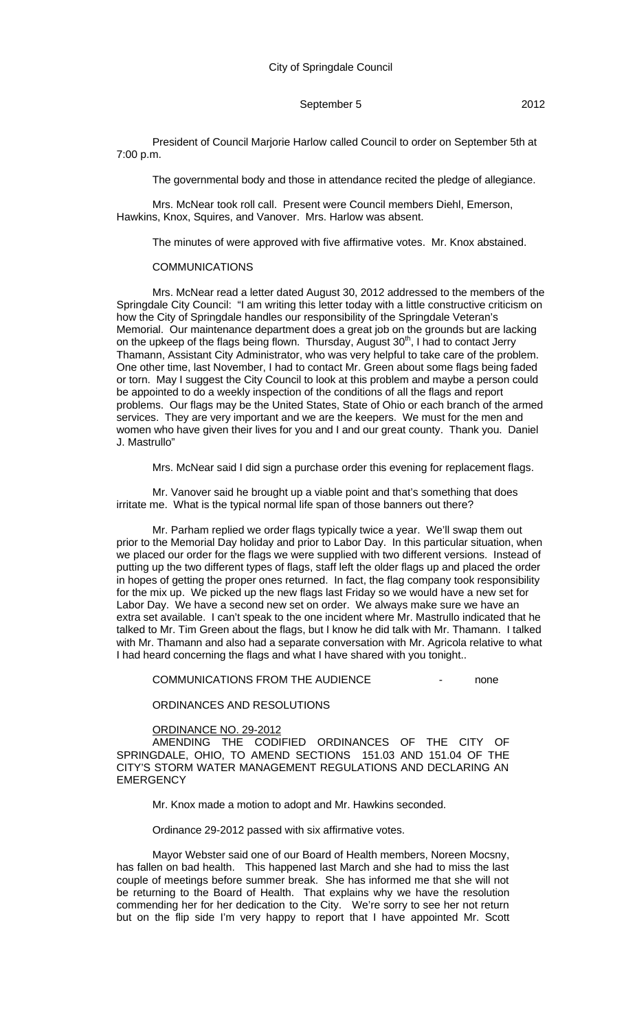President of Council Marjorie Harlow called Council to order on September 5th at 7:00 p.m.

The governmental body and those in attendance recited the pledge of allegiance.

Mrs. McNear took roll call. Present were Council members Diehl, Emerson, Hawkins, Knox, Squires, and Vanover. Mrs. Harlow was absent.

The minutes of were approved with five affirmative votes. Mr. Knox abstained.

#### COMMUNICATIONS

Mrs. McNear read a letter dated August 30, 2012 addressed to the members of the Springdale City Council: "I am writing this letter today with a little constructive criticism on how the City of Springdale handles our responsibility of the Springdale Veteran's Memorial. Our maintenance department does a great job on the grounds but are lacking on the upkeep of the flags being flown. Thursday, August 30<sup>th</sup>, I had to contact Jerry Thamann, Assistant City Administrator, who was very helpful to take care of the problem. One other time, last November, I had to contact Mr. Green about some flags being faded or torn. May I suggest the City Council to look at this problem and maybe a person could be appointed to do a weekly inspection of the conditions of all the flags and report problems. Our flags may be the United States, State of Ohio or each branch of the armed services. They are very important and we are the keepers. We must for the men and women who have given their lives for you and I and our great county. Thank you. Daniel J. Mastrullo"

Mrs. McNear said I did sign a purchase order this evening for replacement flags.

Mr. Vanover said he brought up a viable point and that's something that does irritate me. What is the typical normal life span of those banners out there?

Mr. Parham replied we order flags typically twice a year. We'll swap them out prior to the Memorial Day holiday and prior to Labor Day. In this particular situation, when we placed our order for the flags we were supplied with two different versions. Instead of putting up the two different types of flags, staff left the older flags up and placed the order in hopes of getting the proper ones returned. In fact, the flag company took responsibility for the mix up. We picked up the new flags last Friday so we would have a new set for Labor Day. We have a second new set on order. We always make sure we have an extra set available. I can't speak to the one incident where Mr. Mastrullo indicated that he talked to Mr. Tim Green about the flags, but I know he did talk with Mr. Thamann. I talked with Mr. Thamann and also had a separate conversation with Mr. Agricola relative to what I had heard concerning the flags and what I have shared with you tonight..

COMMUNICATIONS FROM THE AUDIENCE **FROM THE AUDIENCE** 

ORDINANCES AND RESOLUTIONS

### ORDINANCE NO. 29-2012

AMENDING THE CODIFIED ORDINANCES OF THE CITY OF SPRINGDALE, OHIO, TO AMEND SECTIONS 151.03 AND 151.04 OF THE CITY'S STORM WATER MANAGEMENT REGULATIONS AND DECLARING AN **EMERGENCY** 

Mr. Knox made a motion to adopt and Mr. Hawkins seconded.

Ordinance 29-2012 passed with six affirmative votes.

Mayor Webster said one of our Board of Health members, Noreen Mocsny, has fallen on bad health. This happened last March and she had to miss the last couple of meetings before summer break. She has informed me that she will not be returning to the Board of Health. That explains why we have the resolution commending her for her dedication to the City. We're sorry to see her not return but on the flip side I'm very happy to report that I have appointed Mr. Scott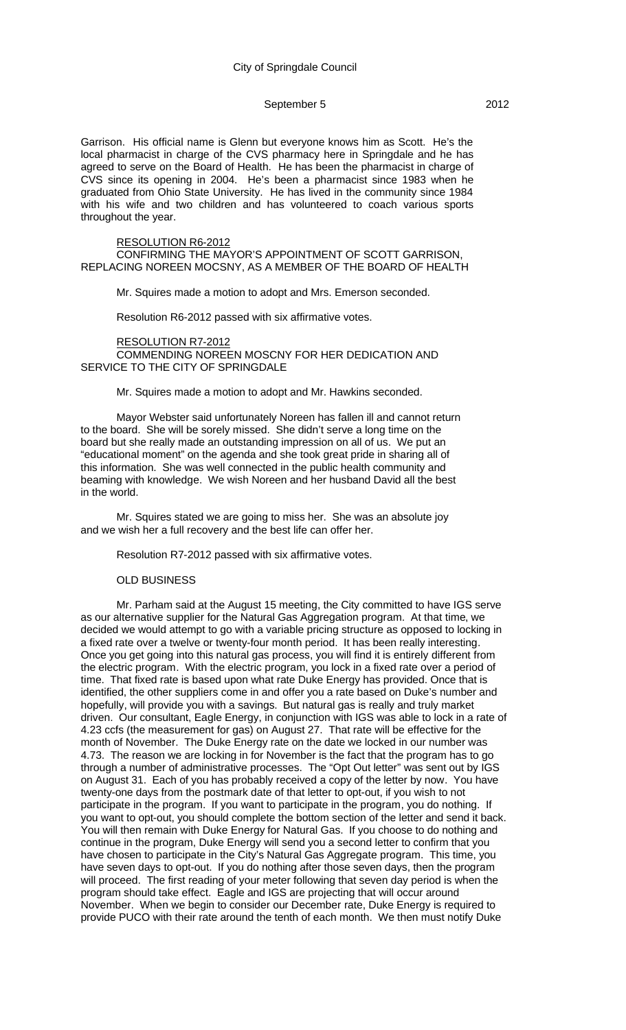Garrison. His official name is Glenn but everyone knows him as Scott. He's the local pharmacist in charge of the CVS pharmacy here in Springdale and he has agreed to serve on the Board of Health. He has been the pharmacist in charge of CVS since its opening in 2004. He's been a pharmacist since 1983 when he graduated from Ohio State University. He has lived in the community since 1984 with his wife and two children and has volunteered to coach various sports throughout the year.

#### RESOLUTION R6-2012

CONFIRMING THE MAYOR'S APPOINTMENT OF SCOTT GARRISON, REPLACING NOREEN MOCSNY, AS A MEMBER OF THE BOARD OF HEALTH

Mr. Squires made a motion to adopt and Mrs. Emerson seconded.

Resolution R6-2012 passed with six affirmative votes.

### RESOLUTION R7-2012 COMMENDING NOREEN MOSCNY FOR HER DEDICATION AND SERVICE TO THE CITY OF SPRINGDALE

#### Mr. Squires made a motion to adopt and Mr. Hawkins seconded.

Mayor Webster said unfortunately Noreen has fallen ill and cannot return to the board. She will be sorely missed. She didn't serve a long time on the board but she really made an outstanding impression on all of us. We put an "educational moment" on the agenda and she took great pride in sharing all of this information. She was well connected in the public health community and beaming with knowledge. We wish Noreen and her husband David all the best in the world.

Mr. Squires stated we are going to miss her. She was an absolute joy and we wish her a full recovery and the best life can offer her.

Resolution R7-2012 passed with six affirmative votes.

#### OLD BUSINESS

Mr. Parham said at the August 15 meeting, the City committed to have IGS serve as our alternative supplier for the Natural Gas Aggregation program. At that time, we decided we would attempt to go with a variable pricing structure as opposed to locking in a fixed rate over a twelve or twenty-four month period. It has been really interesting. Once you get going into this natural gas process, you will find it is entirely different from the electric program. With the electric program, you lock in a fixed rate over a period of time. That fixed rate is based upon what rate Duke Energy has provided. Once that is identified, the other suppliers come in and offer you a rate based on Duke's number and hopefully, will provide you with a savings. But natural gas is really and truly market driven. Our consultant, Eagle Energy, in conjunction with IGS was able to lock in a rate of 4.23 ccfs (the measurement for gas) on August 27. That rate will be effective for the month of November. The Duke Energy rate on the date we locked in our number was 4.73. The reason we are locking in for November is the fact that the program has to go through a number of administrative processes. The "Opt Out letter" was sent out by IGS on August 31. Each of you has probably received a copy of the letter by now. You have twenty-one days from the postmark date of that letter to opt-out, if you wish to not participate in the program. If you want to participate in the program, you do nothing. If you want to opt-out, you should complete the bottom section of the letter and send it back. You will then remain with Duke Energy for Natural Gas. If you choose to do nothing and continue in the program, Duke Energy will send you a second letter to confirm that you have chosen to participate in the City's Natural Gas Aggregate program. This time, you have seven days to opt-out. If you do nothing after those seven days, then the program will proceed. The first reading of your meter following that seven day period is when the program should take effect. Eagle and IGS are projecting that will occur around November. When we begin to consider our December rate, Duke Energy is required to provide PUCO with their rate around the tenth of each month. We then must notify Duke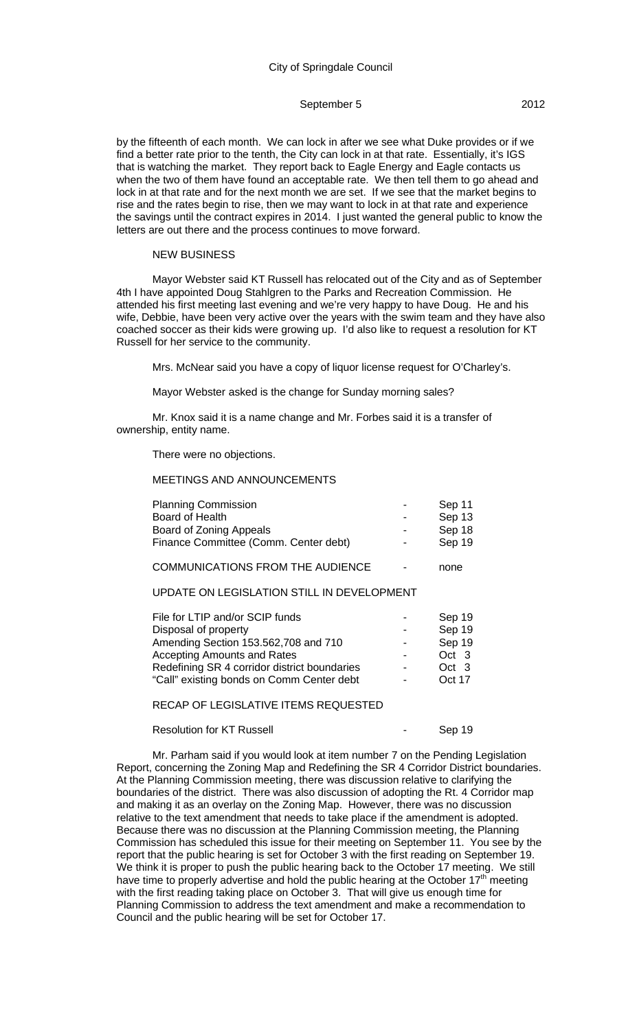by the fifteenth of each month. We can lock in after we see what Duke provides or if we find a better rate prior to the tenth, the City can lock in at that rate. Essentially, it's IGS that is watching the market. They report back to Eagle Energy and Eagle contacts us when the two of them have found an acceptable rate. We then tell them to go ahead and lock in at that rate and for the next month we are set. If we see that the market begins to rise and the rates begin to rise, then we may want to lock in at that rate and experience the savings until the contract expires in 2014. I just wanted the general public to know the letters are out there and the process continues to move forward.

## NEW BUSINESS

Mayor Webster said KT Russell has relocated out of the City and as of September 4th I have appointed Doug Stahlgren to the Parks and Recreation Commission. He attended his first meeting last evening and we're very happy to have Doug. He and his wife, Debbie, have been very active over the years with the swim team and they have also coached soccer as their kids were growing up. I'd also like to request a resolution for KT Russell for her service to the community.

Mrs. McNear said you have a copy of liquor license request for O'Charley's.

Mayor Webster asked is the change for Sunday morning sales?

Mr. Knox said it is a name change and Mr. Forbes said it is a transfer of ownership, entity name.

#### There were no objections.

### MEETINGS AND ANNOUNCEMENTS

| <b>Planning Commission</b>            | $\blacksquare$ | Sep 11 |
|---------------------------------------|----------------|--------|
| Board of Health                       | $\blacksquare$ | Sep 13 |
| Board of Zoning Appeals               | $\blacksquare$ | Sep 18 |
| Finance Committee (Comm. Center debt) | $\blacksquare$ | Sep 19 |
|                                       |                |        |

COMMUNICATIONS FROM THE AUDIENCE - none

### UPDATE ON LEGISLATION STILL IN DEVELOPMENT

| File for LTIP and/or SCIP funds              | $\,$                     | Sep 19 |
|----------------------------------------------|--------------------------|--------|
| Disposal of property                         | $\overline{\phantom{0}}$ | Sep 19 |
| Amending Section 153.562,708 and 710         | $\blacksquare$           | Sep 19 |
| <b>Accepting Amounts and Rates</b>           | $\overline{\phantom{0}}$ | Oct 3  |
| Redefining SR 4 corridor district boundaries | $\overline{\phantom{0}}$ | Oct 3  |
| "Call" existing bonds on Comm Center debt    | $\overline{\phantom{0}}$ | Oct 17 |

### RECAP OF LEGISLATIVE ITEMS REQUESTED

## Resolution for KT Russell **Resolution** for KT Russell **Resolution** Feed on Sep 19

Mr. Parham said if you would look at item number 7 on the Pending Legislation Report, concerning the Zoning Map and Redefining the SR 4 Corridor District boundaries. At the Planning Commission meeting, there was discussion relative to clarifying the boundaries of the district. There was also discussion of adopting the Rt. 4 Corridor map and making it as an overlay on the Zoning Map. However, there was no discussion relative to the text amendment that needs to take place if the amendment is adopted. Because there was no discussion at the Planning Commission meeting, the Planning Commission has scheduled this issue for their meeting on September 11. You see by the report that the public hearing is set for October 3 with the first reading on September 19. We think it is proper to push the public hearing back to the October 17 meeting. We still have time to properly advertise and hold the public hearing at the October  $17<sup>th</sup>$  meeting with the first reading taking place on October 3. That will give us enough time for Planning Commission to address the text amendment and make a recommendation to Council and the public hearing will be set for October 17.